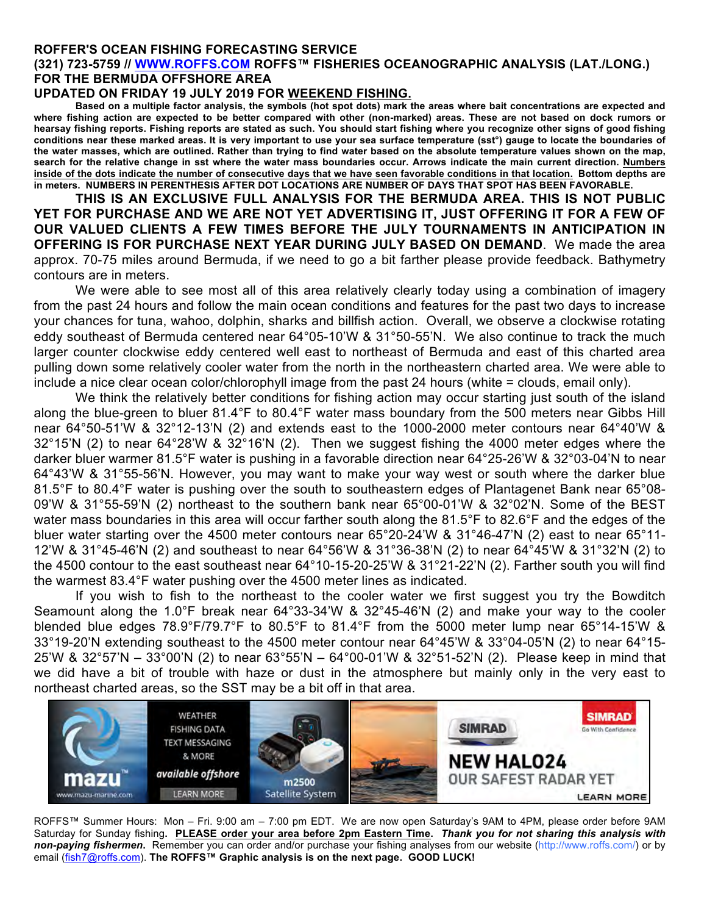## **ROFFER'S OCEAN FISHING FORECASTING SERVICE**

## **(321) 723-5759 // WWW.ROFFS.COM ROFFS™ FISHERIES OCEANOGRAPHIC ANALYSIS (LAT./LONG.) FOR THE BERMUDA OFFSHORE AREA**

## **UPDATED ON FRIDAY 19 JULY 2019 FOR WEEKEND FISHING.**

**Based on a multiple factor analysis, the symbols (hot spot dots) mark the areas where bait concentrations are expected and where fishing action are expected to be better compared with other (non-marked) areas. These are not based on dock rumors or hearsay fishing reports. Fishing reports are stated as such. You should start fishing where you recognize other signs of good fishing conditions near these marked areas. It is very important to use your sea surface temperature (sst°) gauge to locate the boundaries of the water masses, which are outlined. Rather than trying to find water based on the absolute temperature values shown on the map, search for the relative change in sst where the water mass boundaries occur. Arrows indicate the main current direction. Numbers inside of the dots indicate the number of consecutive days that we have seen favorable conditions in that location. Bottom depths are in meters. NUMBERS IN PERENTHESIS AFTER DOT LOCATIONS ARE NUMBER OF DAYS THAT SPOT HAS BEEN FAVORABLE.**

**THIS IS AN EXCLUSIVE FULL ANALYSIS FOR THE BERMUDA AREA. THIS IS NOT PUBLIC YET FOR PURCHASE AND WE ARE NOT YET ADVERTISING IT, JUST OFFERING IT FOR A FEW OF OUR VALUED CLIENTS A FEW TIMES BEFORE THE JULY TOURNAMENTS IN ANTICIPATION IN OFFERING IS FOR PURCHASE NEXT YEAR DURING JULY BASED ON DEMAND**. We made the area approx. 70-75 miles around Bermuda, if we need to go a bit farther please provide feedback. Bathymetry contours are in meters.

We were able to see most all of this area relatively clearly today using a combination of imagery from the past 24 hours and follow the main ocean conditions and features for the past two days to increase your chances for tuna, wahoo, dolphin, sharks and billfish action. Overall, we observe a clockwise rotating eddy southeast of Bermuda centered near 64°05-10'W & 31°50-55'N. We also continue to track the much larger counter clockwise eddy centered well east to northeast of Bermuda and east of this charted area pulling down some relatively cooler water from the north in the northeastern charted area. We were able to include a nice clear ocean color/chlorophyll image from the past 24 hours (white = clouds, email only).

We think the relatively better conditions for fishing action may occur starting just south of the island along the blue-green to bluer 81.4°F to 80.4°F water mass boundary from the 500 meters near Gibbs Hill near 64°50-51'W & 32°12-13'N (2) and extends east to the 1000-2000 meter contours near 64°40'W & 32°15'N (2) to near 64°28'W & 32°16'N (2). Then we suggest fishing the 4000 meter edges where the darker bluer warmer 81.5°F water is pushing in a favorable direction near 64°25-26'W & 32°03-04'N to near 64°43'W & 31°55-56'N. However, you may want to make your way west or south where the darker blue 81.5°F to 80.4°F water is pushing over the south to southeastern edges of Plantagenet Bank near 65°08- 09'W & 31°55-59'N (2) northeast to the southern bank near 65°00-01'W & 32°02'N. Some of the BEST water mass boundaries in this area will occur farther south along the 81.5°F to 82.6°F and the edges of the bluer water starting over the 4500 meter contours near 65°20-24'W & 31°46-47'N (2) east to near 65°11- 12'W & 31°45-46'N (2) and southeast to near 64°56'W & 31°36-38'N (2) to near 64°45'W & 31°32'N (2) to the 4500 contour to the east southeast near 64°10-15-20-25'W & 31°21-22'N (2). Farther south you will find the warmest 83.4°F water pushing over the 4500 meter lines as indicated.

If you wish to fish to the northeast to the cooler water we first suggest you try the Bowditch Seamount along the 1.0°F break near 64°33-34'W & 32°45-46'N (2) and make your way to the cooler blended blue edges 78.9°F/79.7°F to 80.5°F to 81.4°F from the 5000 meter lump near 65°14-15'W & 33°19-20'N extending southeast to the 4500 meter contour near 64°45'W & 33°04-05'N (2) to near 64°15- 25'W & 32°57'N – 33°00'N (2) to near 63°55'N – 64°00-01'W & 32°51-52'N (2). Please keep in mind that we did have a bit of trouble with haze or dust in the atmosphere but mainly only in the very east to northeast charted areas, so the SST may be a bit off in that area.



ROFFS™ Summer Hours: Mon – Fri. 9:00 am – 7:00 pm EDT. We are now open Saturday's 9AM to 4PM, please order before 9AM Saturday for Sunday fishing**. PLEASE order your area before 2pm Eastern Time.** *Thank you for not sharing this analysis with non-paying fishermen***.** Remember you can order and/or purchase your fishing analyses from our website (http://www.roffs.com/) or by email (fish7@roffs.com). **The ROFFS™ Graphic analysis is on the next page. GOOD LUCK!**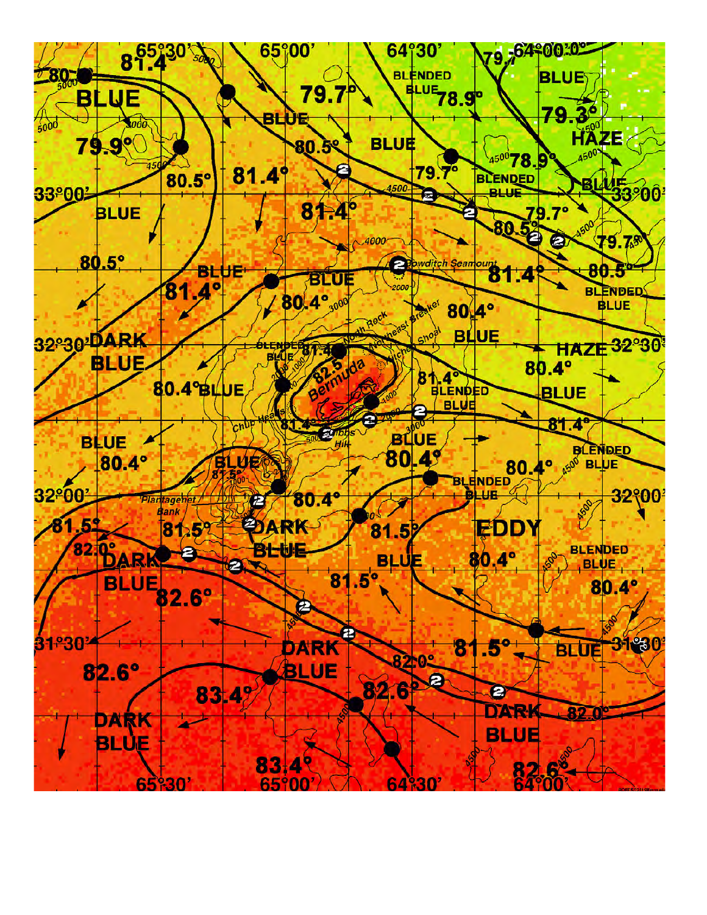